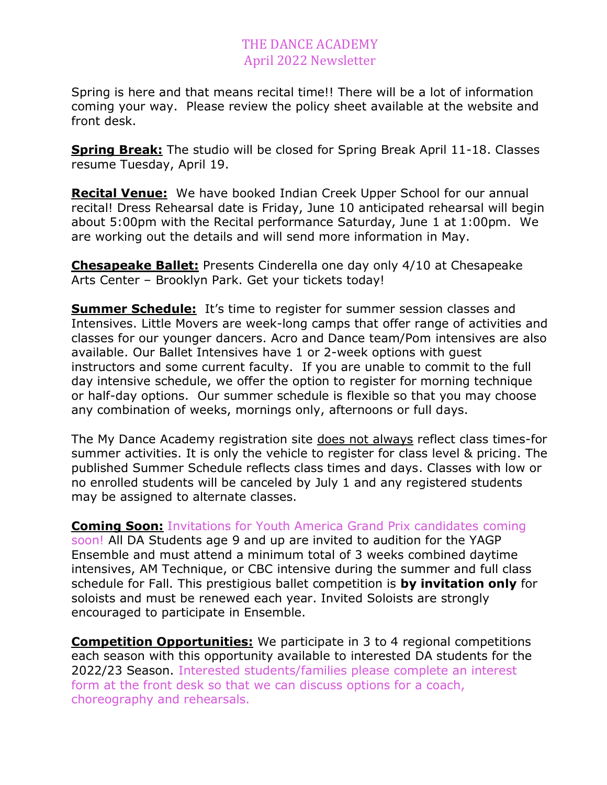## THE DANCE ACADEMY April 2022 Newsletter

Spring is here and that means recital time!! There will be a lot of information coming your way. Please review the policy sheet available at the website and front desk.

**Spring Break:** The studio will be closed for Spring Break April 11-18. Classes resume Tuesday, April 19.

**Recital Venue:** We have booked Indian Creek Upper School for our annual recital! Dress Rehearsal date is Friday, June 10 anticipated rehearsal will begin about 5:00pm with the Recital performance Saturday, June 1 at 1:00pm. We are working out the details and will send more information in May.

**Chesapeake Ballet:** Presents Cinderella one day only 4/10 at Chesapeake Arts Center – Brooklyn Park. Get your tickets today!

**Summer Schedule:** It's time to register for summer session classes and Intensives. Little Movers are week-long camps that offer range of activities and classes for our younger dancers. Acro and Dance team/Pom intensives are also available. Our Ballet Intensives have 1 or 2-week options with guest instructors and some current faculty. If you are unable to commit to the full day intensive schedule, we offer the option to register for morning technique or half-day options. Our summer schedule is flexible so that you may choose any combination of weeks, mornings only, afternoons or full days.

The My Dance Academy registration site does not always reflect class times-for summer activities. It is only the vehicle to register for class level & pricing. The published Summer Schedule reflects class times and days. Classes with low or no enrolled students will be canceled by July 1 and any registered students may be assigned to alternate classes.

**Coming Soon:** Invitations for Youth America Grand Prix candidates coming soon! All DA Students age 9 and up are invited to audition for the YAGP Ensemble and must attend a minimum total of 3 weeks combined daytime intensives, AM Technique, or CBC intensive during the summer and full class schedule for Fall. This prestigious ballet competition is **by invitation only** for soloists and must be renewed each year. Invited Soloists are strongly encouraged to participate in Ensemble.

**Competition Opportunities:** We participate in 3 to 4 regional competitions each season with this opportunity available to interested DA students for the 2022/23 Season. Interested students/families please complete an interest form at the front desk so that we can discuss options for a coach, choreography and rehearsals.